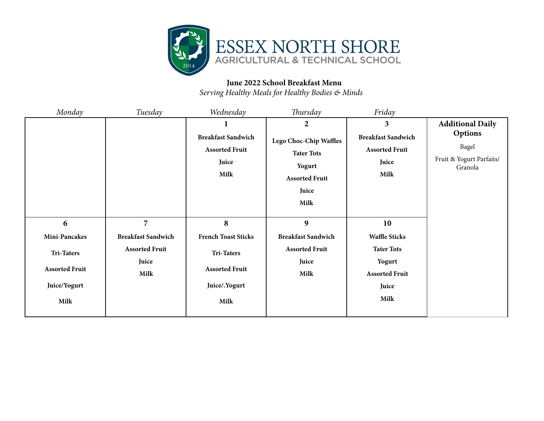

## **June 2022 School Breakfast Menu**

*Serving Healthy Meals for Healthy Bodies & Minds*

| Monday                                     | Tuesday                                | Wednesday                                                           | Thursday                                                                                               | Friday                                                              |                                                                |
|--------------------------------------------|----------------------------------------|---------------------------------------------------------------------|--------------------------------------------------------------------------------------------------------|---------------------------------------------------------------------|----------------------------------------------------------------|
|                                            |                                        |                                                                     | $\overline{2}$                                                                                         | 3                                                                   | <b>Additional Daily</b>                                        |
|                                            |                                        | <b>Breakfast Sandwich</b><br><b>Assorted Fruit</b><br>Juice<br>Milk | <b>Lego Choc-Chip Waffles</b><br><b>Tater Tots</b><br>Yogurt<br><b>Assorted Fruit</b><br>Juice<br>Milk | <b>Breakfast Sandwich</b><br><b>Assorted Fruit</b><br>Juice<br>Milk | <b>Options</b><br>Bagel<br>Fruit & Yogurt Parfaits/<br>Granola |
| 6                                          | $\overline{7}$                         | 8                                                                   | $\boldsymbol{9}$                                                                                       | 10                                                                  |                                                                |
| Mini-Pancakes                              | <b>Breakfast Sandwich</b>              | <b>French Toast Sticks</b>                                          | <b>Breakfast Sandwich</b>                                                                              | <b>Waffle Sticks</b>                                                |                                                                |
| <b>Tri-Taters</b><br><b>Assorted Fruit</b> | <b>Assorted Fruit</b><br>Juice<br>Milk | <b>Tri-Taters</b><br><b>Assorted Fruit</b>                          | <b>Assorted Fruit</b><br>Juice<br>Milk                                                                 | <b>Tater Tots</b><br>Yogurt<br><b>Assorted Fruit</b>                |                                                                |
| Juice/Yogurt                               |                                        | Juice/.Yogurt                                                       |                                                                                                        | Juice                                                               |                                                                |
| Milk                                       |                                        | Milk                                                                |                                                                                                        | Milk                                                                |                                                                |